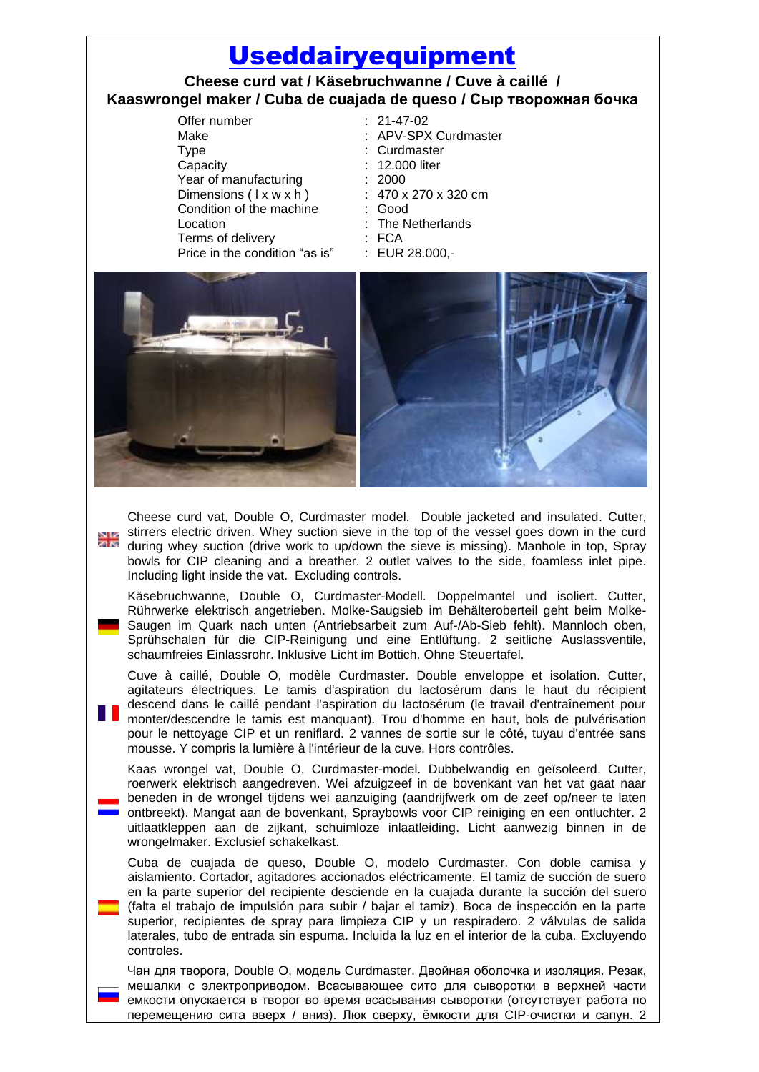## [Useddairyequipment](http://www.useddairyequipment.com/)

## **Cheese curd vat / Käsebruchwanne / Cuve à caillé / Kaaswrongel maker / Cuba de cuajada de queso / Сыр творожная бочка**

Offer number : 21-47-02 Make : APV-SPX Curdmaster Type : Curdmaster Capacity : 12.000 liter Year of manufacturing : 2000 Dimensions ( I x w x h ) : 470 x 270 x 320 cm Condition of the machine : Good Location : The Netherlands Terms of delivery **: FCA** Price in the condition "as is" : EUR 28.000,-



Cheese curd vat, Double O, Curdmaster model. Double jacketed and insulated. Cutter, stirrers electric driven. Whey suction sieve in the top of the vessel goes down in the curd during whey suction (drive work to up/down the sieve is missing). Manhole in top, Spray bowls for CIP cleaning and a breather. 2 outlet valves to the side, foamless inlet pipe. Including light inside the vat. Excluding controls.

Käsebruchwanne, Double O, Curdmaster-Modell. Doppelmantel und isoliert. Cutter, Rührwerke elektrisch angetrieben. Molke-Saugsieb im Behälteroberteil geht beim Molke-Saugen im Quark nach unten (Antriebsarbeit zum Auf-/Ab-Sieb fehlt). Mannloch oben, Sprühschalen für die CIP-Reinigung und eine Entlüftung. 2 seitliche Auslassventile, schaumfreies Einlassrohr. Inklusive Licht im Bottich. Ohne Steuertafel.

Cuve à caillé, Double O, modèle Curdmaster. Double enveloppe et isolation. Cutter, agitateurs électriques. Le tamis d'aspiration du lactosérum dans le haut du récipient descend dans le caillé pendant l'aspiration du lactosérum (le travail d'entraînement pour monter/descendre le tamis est manquant). Trou d'homme en haut, bols de pulvérisation pour le nettoyage CIP et un reniflard. 2 vannes de sortie sur le côté, tuyau d'entrée sans mousse. Y compris la lumière à l'intérieur de la cuve. Hors contrôles.

Kaas wrongel vat, Double O, Curdmaster-model. Dubbelwandig en geïsoleerd. Cutter, roerwerk elektrisch aangedreven. Wei afzuigzeef in de bovenkant van het vat gaat naar beneden in de wrongel tijdens wei aanzuiging (aandrijfwerk om de zeef op/neer te laten ontbreekt). Mangat aan de bovenkant, Spraybowls voor CIP reiniging en een ontluchter. 2 uitlaatkleppen aan de zijkant, schuimloze inlaatleiding. Licht aanwezig binnen in de wrongelmaker. Exclusief schakelkast.

Cuba de cuajada de queso, Double O, modelo Curdmaster. Con doble camisa y aislamiento. Cortador, agitadores accionados eléctricamente. El tamiz de succión de suero en la parte superior del recipiente desciende en la cuajada durante la succión del suero (falta el trabajo de impulsión para subir / bajar el tamiz). Boca de inspección en la parte superior, recipientes de spray para limpieza CIP y un respiradero. 2 válvulas de salida laterales, tubo de entrada sin espuma. Incluida la luz en el interior de la cuba. Excluyendo controles.

Чан для творога, Double O, модель Curdmaster. Двойная оболочка и изоляция. Резак, мешалки с электроприводом. Всасывающее сито для сыворотки в верхней части емкости опускается в творог во время всасывания сыворотки (отсутствует работа по перемещению сита вверх / вниз). Люк сверху, ёмкости для CIP-очистки и сапун. 2